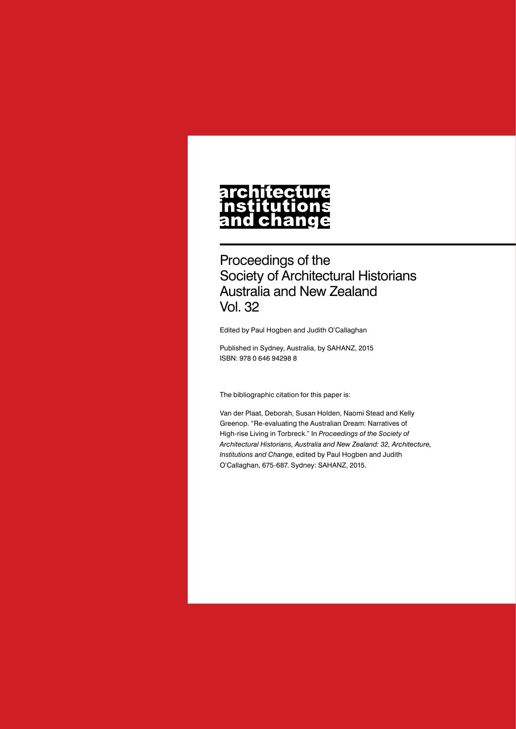# **architecture** n only can a<br>nstitutions<br>and change

Proceedings of the Society of Architectural Historians Australia and New Zealand Vol. 32

Edited by Paul Hogben and Judith O'Callaghan

Published in Sydney, Australia, by SAHANZ, 2015 ISBN: 978 0 646 94298 8

The bibliographic citation for this paper is:

Van der Plaat, Deborah, Susan Holden, Naomi Stead and Kelly Greenop. "Re-evaluating the Australian Dream: Narratives of High-rise Living in Torbreck." In *Proceedings of the Society of Architectural Historians, Australia and New Zealand: 32, Architecture, Institutions and Change*, edited by Paul Hogben and Judith O'Callaghan, 675-687. Sydney: SAHANZ, 2015.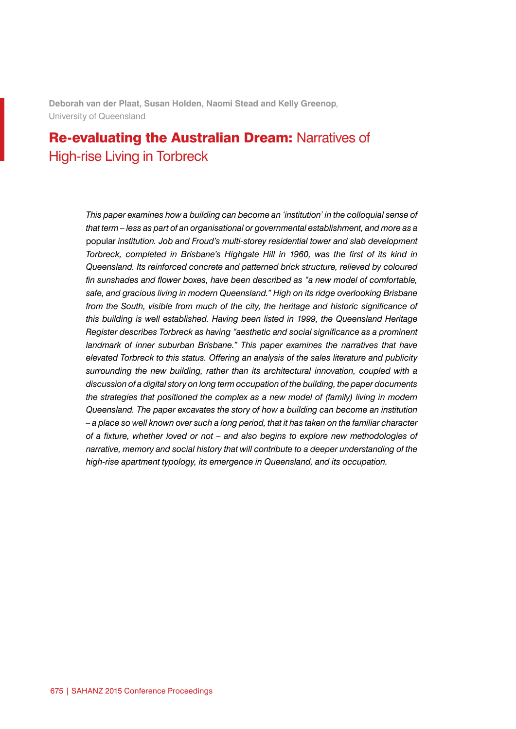**Deborah van der Plaat, Susan Holden, Naomi Stead and Kelly Greenop***,*  University of Queensland

# Re-evaluating the Australian Dream: Narratives of High-rise Living in Torbreck

*This paper examines how a building can become an 'institution' in the colloquial sense of that term – less as part of an organisational or governmental establishment, and more as a*  popular *institution. Job and Froud's multi-storey residential tower and slab development Torbreck, completed in Brisbane's Highgate Hill in 1960, was the first of its kind in Queensland. Its reinforced concrete and patterned brick structure, relieved by coloured fin sunshades and flower boxes, have been described as "a new model of comfortable, safe, and gracious living in modern Queensland." High on its ridge overlooking Brisbane from the South, visible from much of the city, the heritage and historic significance of this building is well established. Having been listed in 1999, the Queensland Heritage Register describes Torbreck as having "aesthetic and social significance as a prominent landmark of inner suburban Brisbane." This paper examines the narratives that have elevated Torbreck to this status. Offering an analysis of the sales literature and publicity surrounding the new building, rather than its architectural innovation, coupled with a discussion of a digital story on long term occupation of the building, the paper documents the strategies that positioned the complex as a new model of (family) living in modern Queensland. The paper excavates the story of how a building can become an institution – a place so well known over such a long period, that it has taken on the familiar character of a fixture, whether loved or not – and also begins to explore new methodologies of narrative, memory and social history that will contribute to a deeper understanding of the high-rise apartment typology, its emergence in Queensland, and its occupation.*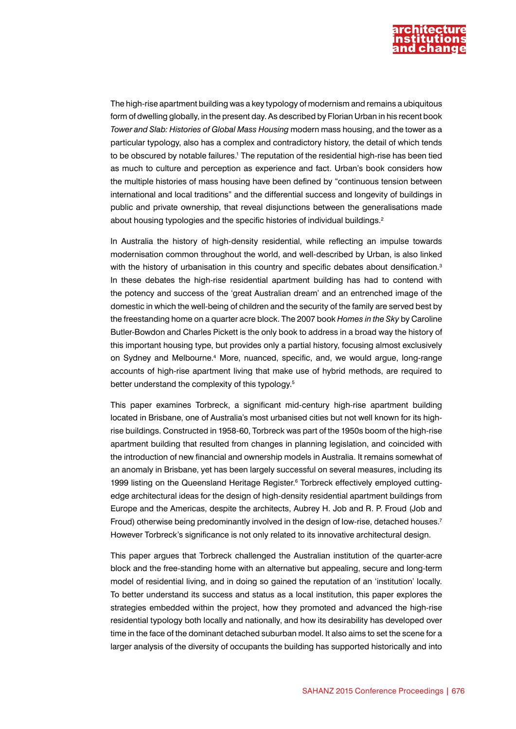

The high-rise apartment building was a key typology of modernism and remains a ubiquitous form of dwelling globally, in the present day. As described by Florian Urban in his recent book *Tower and Slab: Histories of Global Mass Housing* modern mass housing, and the tower as a particular typology, also has a complex and contradictory history, the detail of which tends to be obscured by notable failures.1 The reputation of the residential high-rise has been tied as much to culture and perception as experience and fact. Urban's book considers how the multiple histories of mass housing have been defined by "continuous tension between international and local traditions" and the differential success and longevity of buildings in public and private ownership, that reveal disjunctions between the generalisations made about housing typologies and the specific histories of individual buildings.<sup>2</sup>

In Australia the history of high-density residential, while reflecting an impulse towards modernisation common throughout the world, and well-described by Urban, is also linked with the history of urbanisation in this country and specific debates about densification.<sup>3</sup> In these debates the high-rise residential apartment building has had to contend with the potency and success of the 'great Australian dream' and an entrenched image of the domestic in which the well-being of children and the security of the family are served best by the freestanding home on a quarter acre block. The 2007 book *Homes in the Sky* by Caroline Butler-Bowdon and Charles Pickett is the only book to address in a broad way the history of this important housing type, but provides only a partial history, focusing almost exclusively on Sydney and Melbourne.4 More, nuanced, specific, and, we would argue, long-range accounts of high-rise apartment living that make use of hybrid methods, are required to better understand the complexity of this typology.<sup>5</sup>

This paper examines Torbreck, a significant mid-century high-rise apartment building located in Brisbane, one of Australia's most urbanised cities but not well known for its highrise buildings. Constructed in 1958-60, Torbreck was part of the 1950s boom of the high-rise apartment building that resulted from changes in planning legislation, and coincided with the introduction of new financial and ownership models in Australia. It remains somewhat of an anomaly in Brisbane, yet has been largely successful on several measures, including its 1999 listing on the Queensland Heritage Register.<sup>6</sup> Torbreck effectively employed cuttingedge architectural ideas for the design of high-density residential apartment buildings from Europe and the Americas, despite the architects, Aubrey H. Job and R. P. Froud (Job and Froud) otherwise being predominantly involved in the design of low-rise, detached houses.<sup>7</sup> However Torbreck's significance is not only related to its innovative architectural design.

This paper argues that Torbreck challenged the Australian institution of the quarter-acre block and the free-standing home with an alternative but appealing, secure and long-term model of residential living, and in doing so gained the reputation of an 'institution' locally. To better understand its success and status as a local institution, this paper explores the strategies embedded within the project, how they promoted and advanced the high-rise residential typology both locally and nationally, and how its desirability has developed over time in the face of the dominant detached suburban model. It also aims to set the scene for a larger analysis of the diversity of occupants the building has supported historically and into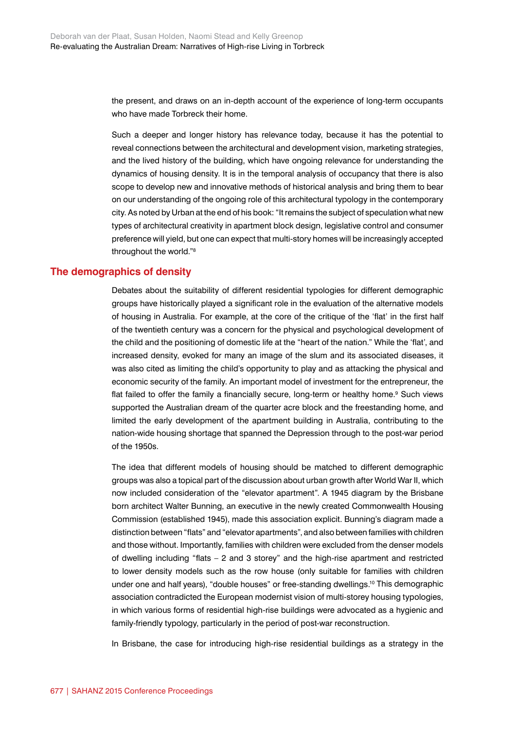the present, and draws on an in-depth account of the experience of long-term occupants who have made Torbreck their home.

Such a deeper and longer history has relevance today, because it has the potential to reveal connections between the architectural and development vision, marketing strategies, and the lived history of the building, which have ongoing relevance for understanding the dynamics of housing density. It is in the temporal analysis of occupancy that there is also scope to develop new and innovative methods of historical analysis and bring them to bear on our understanding of the ongoing role of this architectural typology in the contemporary city. As noted by Urban at the end of his book: "It remains the subject of speculation what new types of architectural creativity in apartment block design, legislative control and consumer preference will yield, but one can expect that multi-story homes will be increasingly accepted throughout the world."8

# **The demographics of density**

Debates about the suitability of different residential typologies for different demographic groups have historically played a significant role in the evaluation of the alternative models of housing in Australia. For example, at the core of the critique of the 'flat' in the first half of the twentieth century was a concern for the physical and psychological development of the child and the positioning of domestic life at the "heart of the nation." While the 'flat', and increased density, evoked for many an image of the slum and its associated diseases, it was also cited as limiting the child's opportunity to play and as attacking the physical and economic security of the family. An important model of investment for the entrepreneur, the flat failed to offer the family a financially secure, long-term or healthy home.<sup>9</sup> Such views supported the Australian dream of the quarter acre block and the freestanding home, and limited the early development of the apartment building in Australia, contributing to the nation-wide housing shortage that spanned the Depression through to the post-war period of the 1950s.

The idea that different models of housing should be matched to different demographic groups was also a topical part of the discussion about urban growth after World War II, which now included consideration of the "elevator apartment". A 1945 diagram by the Brisbane born architect Walter Bunning, an executive in the newly created Commonwealth Housing Commission (established 1945), made this association explicit. Bunning's diagram made a distinction between "flats" and "elevator apartments", and also between families with children and those without. Importantly, families with children were excluded from the denser models of dwelling including "flats – 2 and 3 storey" and the high-rise apartment and restricted to lower density models such as the row house (only suitable for families with children under one and half years), "double houses" or free-standing dwellings.<sup>10</sup> This demographic association contradicted the European modernist vision of multi-storey housing typologies, in which various forms of residential high-rise buildings were advocated as a hygienic and family-friendly typology, particularly in the period of post-war reconstruction.

In Brisbane, the case for introducing high-rise residential buildings as a strategy in the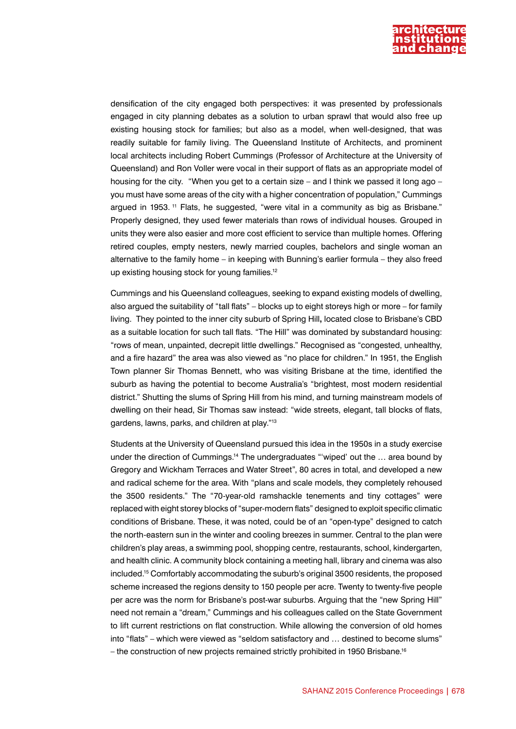

densification of the city engaged both perspectives: it was presented by professionals engaged in city planning debates as a solution to urban sprawl that would also free up existing housing stock for families; but also as a model, when well-designed, that was readily suitable for family living. The Queensland Institute of Architects, and prominent local architects including Robert Cummings (Professor of Architecture at the University of Queensland) and Ron Voller were vocal in their support of flats as an appropriate model of housing for the city. "When you get to a certain size – and I think we passed it long ago – you must have some areas of the city with a higher concentration of population," Cummings argued in 1953. 11 Flats, he suggested, "were vital in a community as big as Brisbane." Properly designed, they used fewer materials than rows of individual houses. Grouped in units they were also easier and more cost efficient to service than multiple homes. Offering retired couples, empty nesters, newly married couples, bachelors and single woman an alternative to the family home – in keeping with Bunning's earlier formula – they also freed up existing housing stock for young families.12

Cummings and his Queensland colleagues, seeking to expand existing models of dwelling, also argued the suitability of "tall flats" – blocks up to eight storeys high or more – for family living. They pointed to the inner city suburb of Spring Hill**,** located close to Brisbane's CBD as a suitable location for such tall flats. "The Hill" was dominated by substandard housing: "rows of mean, unpainted, decrepit little dwellings." Recognised as "congested, unhealthy, and a fire hazard" the area was also viewed as "no place for children." In 1951, the English Town planner Sir Thomas Bennett, who was visiting Brisbane at the time, identified the suburb as having the potential to become Australia's "brightest, most modern residential district." Shutting the slums of Spring Hill from his mind, and turning mainstream models of dwelling on their head, Sir Thomas saw instead: "wide streets, elegant, tall blocks of flats, gardens, lawns, parks, and children at play."13

Students at the University of Queensland pursued this idea in the 1950s in a study exercise under the direction of Cummings.14 The undergraduates "'wiped' out the … area bound by Gregory and Wickham Terraces and Water Street", 80 acres in total, and developed a new and radical scheme for the area. With "plans and scale models, they completely rehoused the 3500 residents." The "70-year-old ramshackle tenements and tiny cottages" were replaced with eight storey blocks of "super-modern flats" designed to exploit specific climatic conditions of Brisbane. These, it was noted, could be of an "open-type" designed to catch the north-eastern sun in the winter and cooling breezes in summer. Central to the plan were children's play areas, a swimming pool, shopping centre, restaurants, school, kindergarten, and health clinic. A community block containing a meeting hall, library and cinema was also included.15 Comfortably accommodating the suburb's original 3500 residents, the proposed scheme increased the regions density to 150 people per acre. Twenty to twenty-five people per acre was the norm for Brisbane's post-war suburbs. Arguing that the "new Spring Hill" need not remain a "dream," Cummings and his colleagues called on the State Government to lift current restrictions on flat construction. While allowing the conversion of old homes into "flats" – which were viewed as "seldom satisfactory and … destined to become slums" – the construction of new projects remained strictly prohibited in 1950 Brisbane.16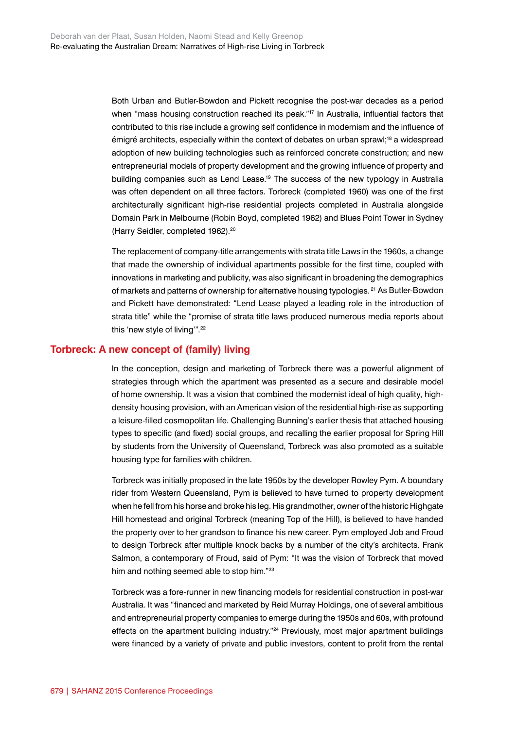Both Urban and Butler-Bowdon and Pickett recognise the post-war decades as a period when "mass housing construction reached its peak."<sup>17</sup> In Australia, influential factors that contributed to this rise include a growing self confidence in modernism and the influence of émigré architects, especially within the context of debates on urban sprawl;18 a widespread adoption of new building technologies such as reinforced concrete construction; and new entrepreneurial models of property development and the growing influence of property and building companies such as Lend Lease.19 The success of the new typology in Australia was often dependent on all three factors. Torbreck (completed 1960) was one of the first architecturally significant high-rise residential projects completed in Australia alongside Domain Park in Melbourne (Robin Boyd, completed 1962) and Blues Point Tower in Sydney (Harry Seidler, completed 1962).<sup>20</sup>

The replacement of company-title arrangements with strata title Laws in the 1960s, a change that made the ownership of individual apartments possible for the first time, coupled with innovations in marketing and publicity, was also significant in broadening the demographics of markets and patterns of ownership for alternative housing typologies. 21 As Butler-Bowdon and Pickett have demonstrated: "Lend Lease played a leading role in the introduction of strata title" while the "promise of strata title laws produced numerous media reports about this 'new style of living".<sup>22</sup>

#### **Torbreck: A new concept of (family) living**

In the conception, design and marketing of Torbreck there was a powerful alignment of strategies through which the apartment was presented as a secure and desirable model of home ownership. It was a vision that combined the modernist ideal of high quality, highdensity housing provision, with an American vision of the residential high-rise as supporting a leisure-filled cosmopolitan life. Challenging Bunning's earlier thesis that attached housing types to specific (and fixed) social groups, and recalling the earlier proposal for Spring Hill by students from the University of Queensland, Torbreck was also promoted as a suitable housing type for families with children.

Torbreck was initially proposed in the late 1950s by the developer Rowley Pym. A boundary rider from Western Queensland, Pym is believed to have turned to property development when he fell from his horse and broke his leg. His grandmother, owner of the historic Highgate Hill homestead and original Torbreck (meaning Top of the Hill), is believed to have handed the property over to her grandson to finance his new career. Pym employed Job and Froud to design Torbreck after multiple knock backs by a number of the city's architects. Frank Salmon, a contemporary of Froud, said of Pym: "It was the vision of Torbreck that moved him and nothing seemed able to stop him."<sup>23</sup>

Torbreck was a fore-runner in new financing models for residential construction in post-war Australia. It was "financed and marketed by Reid Murray Holdings, one of several ambitious and entrepreneurial property companies to emerge during the 1950s and 60s, with profound effects on the apartment building industry."<sup>24</sup> Previously, most major apartment buildings were financed by a variety of private and public investors, content to profit from the rental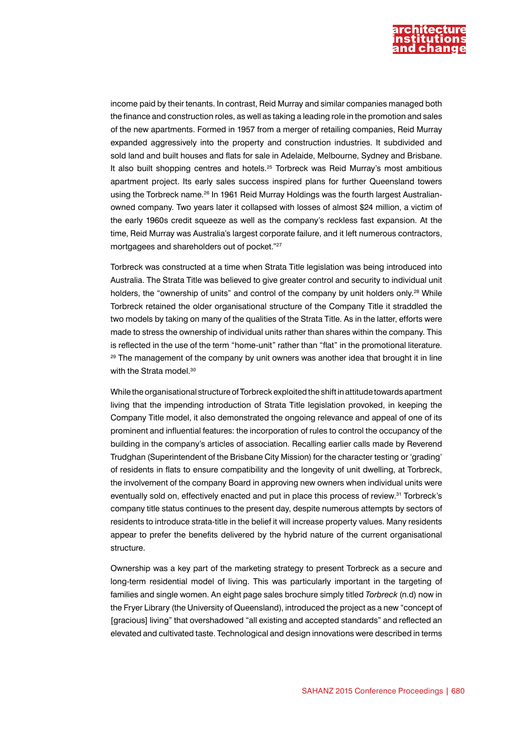

income paid by their tenants. In contrast, Reid Murray and similar companies managed both the finance and construction roles, as well as taking a leading role in the promotion and sales of the new apartments. Formed in 1957 from a merger of retailing companies, Reid Murray expanded aggressively into the property and construction industries. It subdivided and sold land and built houses and flats for sale in Adelaide, Melbourne, Sydney and Brisbane. It also built shopping centres and hotels.25 Torbreck was Reid Murray's most ambitious apartment project. Its early sales success inspired plans for further Queensland towers using the Torbreck name.<sup>26</sup> In 1961 Reid Murray Holdings was the fourth largest Australianowned company. Two years later it collapsed with losses of almost \$24 million, a victim of the early 1960s credit squeeze as well as the company's reckless fast expansion. At the time, Reid Murray was Australia's largest corporate failure, and it left numerous contractors, mortgagees and shareholders out of pocket."27

Torbreck was constructed at a time when Strata Title legislation was being introduced into Australia. The Strata Title was believed to give greater control and security to individual unit holders, the "ownership of units" and control of the company by unit holders only.<sup>28</sup> While Torbreck retained the older organisational structure of the Company Title it straddled the two models by taking on many of the qualities of the Strata Title. As in the latter, efforts were made to stress the ownership of individual units rather than shares within the company. This is reflected in the use of the term "home-unit" rather than "flat" in the promotional literature. <sup>29</sup> The management of the company by unit owners was another idea that brought it in line with the Strata model.<sup>30</sup>

While the organisational structure of Torbreck exploited the shift in attitude towards apartment living that the impending introduction of Strata Title legislation provoked, in keeping the Company Title model, it also demonstrated the ongoing relevance and appeal of one of its prominent and influential features: the incorporation of rules to control the occupancy of the building in the company's articles of association. Recalling earlier calls made by Reverend Trudghan (Superintendent of the Brisbane City Mission) for the character testing or 'grading' of residents in flats to ensure compatibility and the longevity of unit dwelling, at Torbreck, the involvement of the company Board in approving new owners when individual units were eventually sold on, effectively enacted and put in place this process of review.<sup>31</sup> Torbreck's company title status continues to the present day, despite numerous attempts by sectors of residents to introduce strata-title in the belief it will increase property values. Many residents appear to prefer the benefits delivered by the hybrid nature of the current organisational structure.

Ownership was a key part of the marketing strategy to present Torbreck as a secure and long-term residential model of living. This was particularly important in the targeting of families and single women. An eight page sales brochure simply titled *Torbreck* (n.d) now in the Fryer Library (the University of Queensland), introduced the project as a new "concept of [gracious] living" that overshadowed "all existing and accepted standards" and reflected an elevated and cultivated taste. Technological and design innovations were described in terms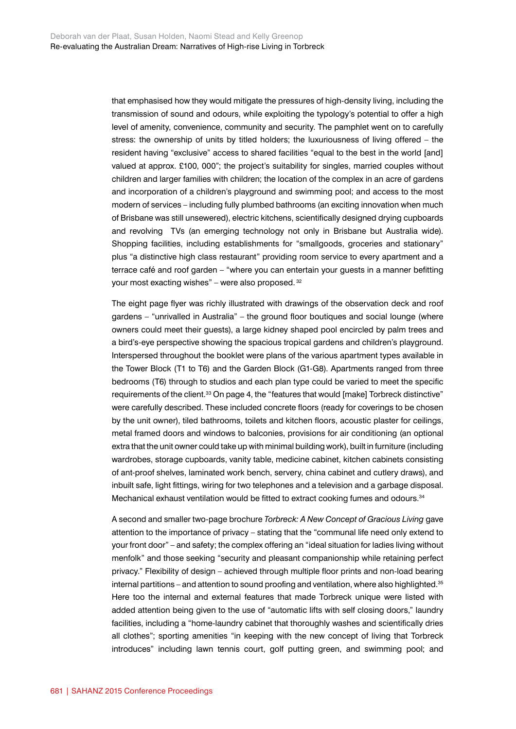that emphasised how they would mitigate the pressures of high-density living, including the transmission of sound and odours, while exploiting the typology's potential to offer a high level of amenity, convenience, community and security. The pamphlet went on to carefully stress: the ownership of units by titled holders; the luxuriousness of living offered – the resident having "exclusive" access to shared facilities "equal to the best in the world [and] valued at approx. £100, 000"; the project's suitability for singles, married couples without children and larger families with children; the location of the complex in an acre of gardens and incorporation of a children's playground and swimming pool; and access to the most modern of services – including fully plumbed bathrooms (an exciting innovation when much of Brisbane was still unsewered), electric kitchens, scientifically designed drying cupboards and revolving TVs (an emerging technology not only in Brisbane but Australia wide). Shopping facilities, including establishments for "smallgoods, groceries and stationary" plus "a distinctive high class restaurant" providing room service to every apartment and a terrace café and roof garden – "where you can entertain your guests in a manner befitting your most exacting wishes" – were also proposed. 32

The eight page flyer was richly illustrated with drawings of the observation deck and roof gardens – "unrivalled in Australia" – the ground floor boutiques and social lounge (where owners could meet their guests), a large kidney shaped pool encircled by palm trees and a bird's-eye perspective showing the spacious tropical gardens and children's playground. Interspersed throughout the booklet were plans of the various apartment types available in the Tower Block (T1 to T6) and the Garden Block (G1-G8). Apartments ranged from three bedrooms (T6) through to studios and each plan type could be varied to meet the specific requirements of the client.<sup>33</sup> On page 4, the "features that would [make] Torbreck distinctive" were carefully described. These included concrete floors (ready for coverings to be chosen by the unit owner), tiled bathrooms, toilets and kitchen floors, acoustic plaster for ceilings, metal framed doors and windows to balconies, provisions for air conditioning (an optional extra that the unit owner could take up with minimal building work), built in furniture (including wardrobes, storage cupboards, vanity table, medicine cabinet, kitchen cabinets consisting of ant-proof shelves, laminated work bench, servery, china cabinet and cutlery draws), and inbuilt safe, light fittings, wiring for two telephones and a television and a garbage disposal. Mechanical exhaust ventilation would be fitted to extract cooking fumes and odours.<sup>34</sup>

A second and smaller two-page brochure *Torbreck: A New Concept of Gracious Living* gave attention to the importance of privacy – stating that the "communal life need only extend to your front door" – and safety; the complex offering an "ideal situation for ladies living without menfolk" and those seeking "security and pleasant companionship while retaining perfect privacy." Flexibility of design – achieved through multiple floor prints and non-load bearing internal partitions – and attention to sound proofing and ventilation, where also highlighted.<sup>35</sup> Here too the internal and external features that made Torbreck unique were listed with added attention being given to the use of "automatic lifts with self closing doors," laundry facilities, including a "home-laundry cabinet that thoroughly washes and scientifically dries all clothes"; sporting amenities "in keeping with the new concept of living that Torbreck introduces" including lawn tennis court, golf putting green, and swimming pool; and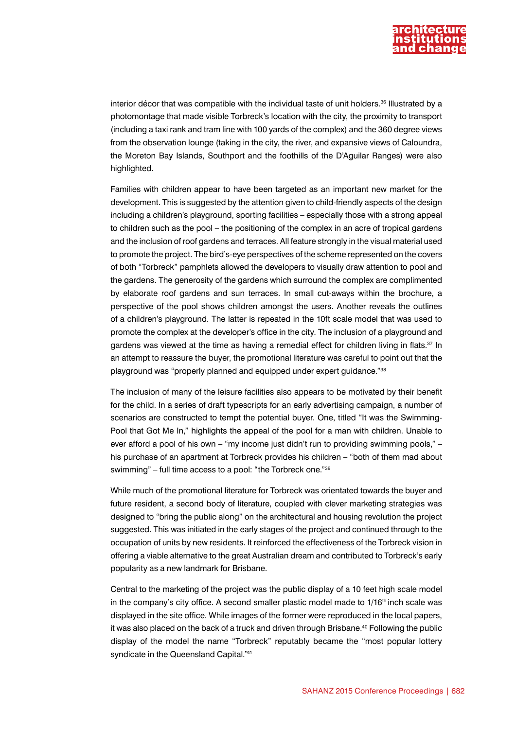

interior décor that was compatible with the individual taste of unit holders.<sup>36</sup> Illustrated by a photomontage that made visible Torbreck's location with the city, the proximity to transport (including a taxi rank and tram line with 100 yards of the complex) and the 360 degree views from the observation lounge (taking in the city, the river, and expansive views of Caloundra, the Moreton Bay Islands, Southport and the foothills of the D'Aguilar Ranges) were also highlighted.

Families with children appear to have been targeted as an important new market for the development. This is suggested by the attention given to child-friendly aspects of the design including a children's playground, sporting facilities – especially those with a strong appeal to children such as the pool – the positioning of the complex in an acre of tropical gardens and the inclusion of roof gardens and terraces. All feature strongly in the visual material used to promote the project. The bird's-eye perspectives of the scheme represented on the covers of both "Torbreck" pamphlets allowed the developers to visually draw attention to pool and the gardens. The generosity of the gardens which surround the complex are complimented by elaborate roof gardens and sun terraces. In small cut-aways within the brochure, a perspective of the pool shows children amongst the users. Another reveals the outlines of a children's playground. The latter is repeated in the 10ft scale model that was used to promote the complex at the developer's office in the city. The inclusion of a playground and gardens was viewed at the time as having a remedial effect for children living in flats.<sup>37</sup> In an attempt to reassure the buyer, the promotional literature was careful to point out that the playground was "properly planned and equipped under expert guidance."38

The inclusion of many of the leisure facilities also appears to be motivated by their benefit for the child. In a series of draft typescripts for an early advertising campaign, a number of scenarios are constructed to tempt the potential buyer. One, titled "It was the Swimming-Pool that Got Me In," highlights the appeal of the pool for a man with children. Unable to ever afford a pool of his own – "my income just didn't run to providing swimming pools," – his purchase of an apartment at Torbreck provides his children – "both of them mad about swimming" – full time access to a pool: "the Torbreck one."<sup>39</sup>

While much of the promotional literature for Torbreck was orientated towards the buyer and future resident, a second body of literature, coupled with clever marketing strategies was designed to "bring the public along" on the architectural and housing revolution the project suggested. This was initiated in the early stages of the project and continued through to the occupation of units by new residents. It reinforced the effectiveness of the Torbreck vision in offering a viable alternative to the great Australian dream and contributed to Torbreck's early popularity as a new landmark for Brisbane.

Central to the marketing of the project was the public display of a 10 feet high scale model in the company's city office. A second smaller plastic model made to  $1/16<sup>th</sup>$  inch scale was displayed in the site office. While images of the former were reproduced in the local papers, it was also placed on the back of a truck and driven through Brisbane. $40$  Following the public display of the model the name "Torbreck" reputably became the "most popular lottery syndicate in the Queensland Capital."41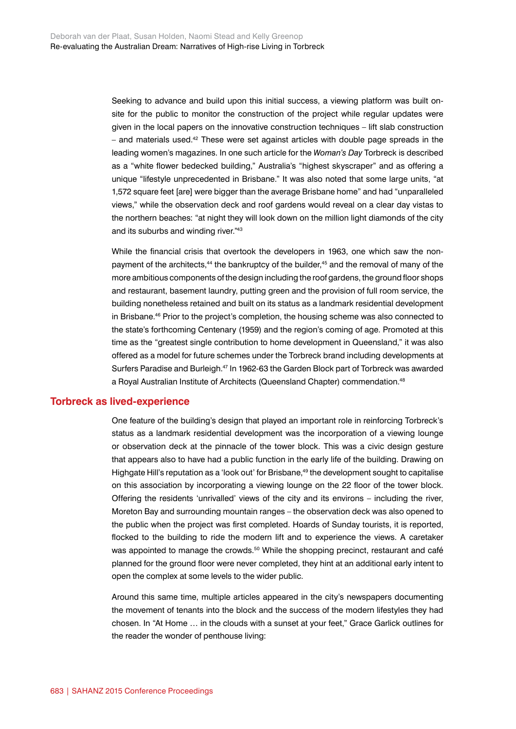Seeking to advance and build upon this initial success, a viewing platform was built onsite for the public to monitor the construction of the project while regular updates were given in the local papers on the innovative construction techniques – lift slab construction – and materials used. $42$  These were set against articles with double page spreads in the leading women's magazines. In one such article for the *Woman's Day* Torbreck is described as a "white flower bedecked building," Australia's "highest skyscraper" and as offering a unique "lifestyle unprecedented in Brisbane." It was also noted that some large units, "at 1,572 square feet [are] were bigger than the average Brisbane home" and had "unparalleled views," while the observation deck and roof gardens would reveal on a clear day vistas to the northern beaches: "at night they will look down on the million light diamonds of the city and its suburbs and winding river."43

While the financial crisis that overtook the developers in 1963, one which saw the nonpayment of the architects,<sup>44</sup> the bankruptcy of the builder,<sup>45</sup> and the removal of many of the more ambitious components of the design including the roof gardens, the ground floor shops and restaurant, basement laundry, putting green and the provision of full room service, the building nonetheless retained and built on its status as a landmark residential development in Brisbane.<sup>46</sup> Prior to the project's completion, the housing scheme was also connected to the state's forthcoming Centenary (1959) and the region's coming of age. Promoted at this time as the "greatest single contribution to home development in Queensland," it was also offered as a model for future schemes under the Torbreck brand including developments at Surfers Paradise and Burleigh.<sup>47</sup> In 1962-63 the Garden Block part of Torbreck was awarded a Royal Australian Institute of Architects (Queensland Chapter) commendation.<sup>48</sup>

# **Torbreck as lived-experience**

One feature of the building's design that played an important role in reinforcing Torbreck's status as a landmark residential development was the incorporation of a viewing lounge or observation deck at the pinnacle of the tower block. This was a civic design gesture that appears also to have had a public function in the early life of the building. Drawing on Highgate Hill's reputation as a 'look out' for Brisbane,<sup>49</sup> the development sought to capitalise on this association by incorporating a viewing lounge on the 22 floor of the tower block. Offering the residents 'unrivalled' views of the city and its environs – including the river, Moreton Bay and surrounding mountain ranges – the observation deck was also opened to the public when the project was first completed. Hoards of Sunday tourists, it is reported, flocked to the building to ride the modern lift and to experience the views. A caretaker was appointed to manage the crowds.<sup>50</sup> While the shopping precinct, restaurant and café planned for the ground floor were never completed, they hint at an additional early intent to open the complex at some levels to the wider public.

Around this same time, multiple articles appeared in the city's newspapers documenting the movement of tenants into the block and the success of the modern lifestyles they had chosen. In "At Home … in the clouds with a sunset at your feet," Grace Garlick outlines for the reader the wonder of penthouse living: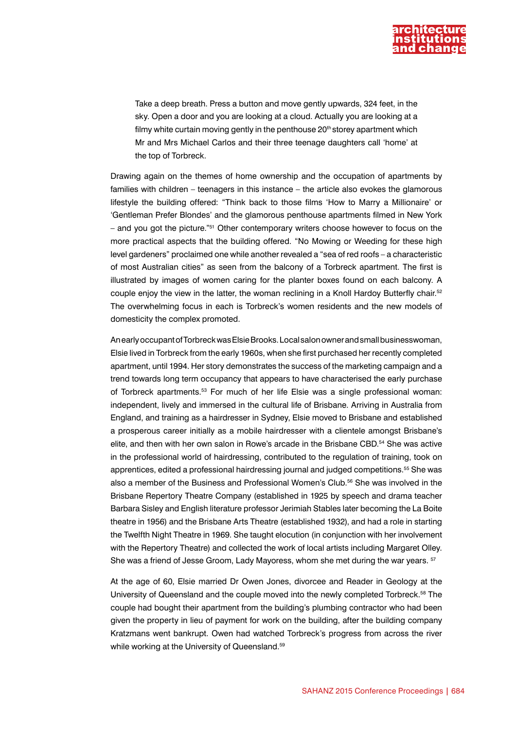

Take a deep breath. Press a button and move gently upwards, 324 feet, in the sky. Open a door and you are looking at a cloud. Actually you are looking at a filmy white curtain moving gently in the penthouse 20<sup>th</sup> storey apartment which Mr and Mrs Michael Carlos and their three teenage daughters call 'home' at the top of Torbreck.

Drawing again on the themes of home ownership and the occupation of apartments by families with children – teenagers in this instance – the article also evokes the glamorous lifestyle the building offered: "Think back to those films 'How to Marry a Millionaire' or 'Gentleman Prefer Blondes' and the glamorous penthouse apartments filmed in New York – and you got the picture."51 Other contemporary writers choose however to focus on the more practical aspects that the building offered. "No Mowing or Weeding for these high level gardeners" proclaimed one while another revealed a "sea of red roofs – a characteristic of most Australian cities" as seen from the balcony of a Torbreck apartment. The first is illustrated by images of women caring for the planter boxes found on each balcony. A couple enjoy the view in the latter, the woman reclining in a Knoll Hardoy Butterfly chair.<sup>52</sup> The overwhelming focus in each is Torbreck's women residents and the new models of domesticity the complex promoted.

An early occupant of Torbreck was Elsie Brooks. Local salon owner and small businesswoman, Elsie lived in Torbreck from the early 1960s, when she first purchased her recently completed apartment, until 1994. Her story demonstrates the success of the marketing campaign and a trend towards long term occupancy that appears to have characterised the early purchase of Torbreck apartments.53 For much of her life Elsie was a single professional woman: independent, lively and immersed in the cultural life of Brisbane. Arriving in Australia from England, and training as a hairdresser in Sydney, Elsie moved to Brisbane and established a prosperous career initially as a mobile hairdresser with a clientele amongst Brisbane's elite, and then with her own salon in Rowe's arcade in the Brisbane CBD.<sup>54</sup> She was active in the professional world of hairdressing, contributed to the regulation of training, took on apprentices, edited a professional hairdressing journal and judged competitions.<sup>55</sup> She was also a member of the Business and Professional Women's Club.56 She was involved in the Brisbane Repertory Theatre Company (established in 1925 by speech and drama teacher Barbara Sisley and English literature professor Jerimiah Stables later becoming the La Boite theatre in 1956) and the Brisbane Arts Theatre (established 1932), and had a role in starting the Twelfth Night Theatre in 1969. She taught elocution (in conjunction with her involvement with the Repertory Theatre) and collected the work of local artists including Margaret Olley. She was a friend of Jesse Groom, Lady Mayoress, whom she met during the war years. <sup>57</sup>

At the age of 60, Elsie married Dr Owen Jones, divorcee and Reader in Geology at the University of Queensland and the couple moved into the newly completed Torbreck.58 The couple had bought their apartment from the building's plumbing contractor who had been given the property in lieu of payment for work on the building, after the building company Kratzmans went bankrupt. Owen had watched Torbreck's progress from across the river while working at the University of Queensland.<sup>59</sup>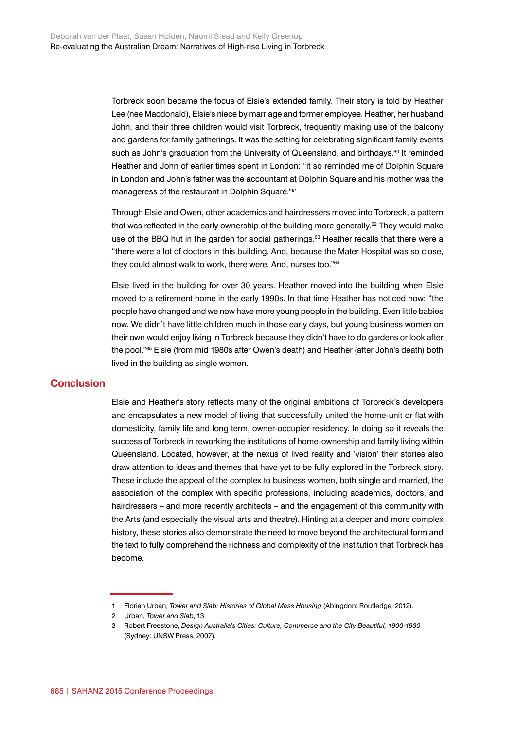Torbreck soon became the focus of Elsie's extended family. Their story is told by Heather Lee (nee Macdonald), Elsie's niece by marriage and former employee. Heather, her husband John, and their three children would visit Torbreck, frequently making use of the balcony and gardens for family gatherings. It was the setting for celebrating significant family events such as John's graduation from the University of Queensland, and birthdays.<sup>60</sup> It reminded Heather and John of earlier times spent in London: "it so reminded me of Dolphin Square in London and John's father was the accountant at Dolphin Square and his mother was the manageress of the restaurant in Dolphin Square."61

Through Elsie and Owen, other academics and hairdressers moved into Torbreck, a pattern that was reflected in the early ownership of the building more generally.<sup>62</sup> They would make use of the BBQ hut in the garden for social gatherings.<sup>63</sup> Heather recalls that there were a "there were a lot of doctors in this building. And, because the Mater Hospital was so close, they could almost walk to work, there were. And, nurses too."64

Elsie lived in the building for over 30 years. Heather moved into the building when Elsie moved to a retirement home in the early 1990s. In that time Heather has noticed how: "the people have changed and we now have more young people in the building. Even little babies now. We didn't have little children much in those early days, but young business women on their own would enjoy living in Torbreck because they didn't have to do gardens or look after the pool."65 Elsie (from mid 1980s after Owen's death) and Heather (after John's death) both lived in the building as single women.

# **Conclusion**

Elsie and Heather's story reflects many of the original ambitions of Torbreck's developers and encapsulates a new model of living that successfully united the home-unit or flat with domesticity, family life and long term, owner-occupier residency. In doing so it reveals the success of Torbreck in reworking the institutions of home-ownership and family living within Queensland. Located, however, at the nexus of lived reality and 'vision' their stories also draw attention to ideas and themes that have yet to be fully explored in the Torbreck story. These include the appeal of the complex to business women, both single and married, the association of the complex with specific professions, including academics, doctors, and hairdressers – and more recently architects – and the engagement of this community with the Arts (and especially the visual arts and theatre). Hinting at a deeper and more complex history, these stories also demonstrate the need to move beyond the architectural form and the text to fully comprehend the richness and complexity of the institution that Torbreck has become.

<sup>1</sup> Florian Urban, *Tower and Slab: Histories of Global Mass Housing* (Abingdon: Routledge, 2012).

<sup>2</sup> Urban, *Tower and Slab*, 13.

<sup>3</sup> Robert Freestone, *Design Australia's Cities: Culture, Commerce and the City Beautiful, 1900-1930*  (Sydney: UNSW Press, 2007).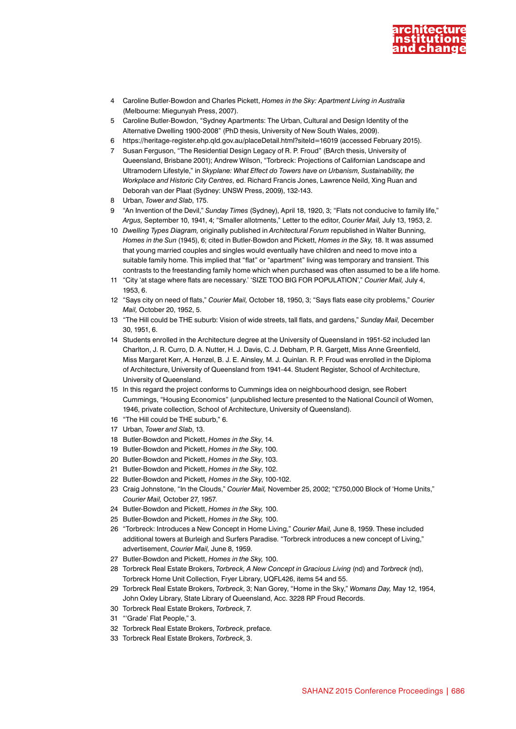

- 4 Caroline Butler-Bowdon and Charles Pickett, *Homes in the Sky: Apartment Living in Australia* (Melbourne: Miegunyah Press, 2007).
- 5 Caroline Butler-Bowdon, "Sydney Apartments: The Urban, Cultural and Design Identity of the Alternative Dwelling 1900-2008" (PhD thesis, University of New South Wales, 2009).
- 6 <https://heritage-register.ehp.qld.gov.au/placeDetail.html?siteId=16019>(accessed February 2015).
- 7 Susan Ferguson, "The Residential Design Legacy of R. P. Froud" (BArch thesis, University of Queensland, Brisbane 2001); Andrew Wilson, "Torbreck: Projections of Californian Landscape and Ultramodern Lifestyle," in *Skyplane: What Effect do Towers have on Urbanism, Sustainability, the Workplace and Historic City Centres*, ed. Richard Francis Jones, Lawrence Neild, Xing Ruan and Deborah van der Plaat (Sydney: UNSW Press, 2009), 132-143.
- 8 Urban, *Tower and Slab*, 175.
- 9 "An Invention of the Devil," *Sunday Times* (Sydney), April 18, 1920, 3; "Flats not conducive to family life," *Argus,* September 10, 1941, 4; "Smaller allotments," Letter to the editor, *Courier Mail,* July 13, 1953, 2.
- 10 *Dwelling Types Diagram,* originally published in *Architectural Forum* republished in Walter Bunning, *Homes in the Sun* (1945), 6; cited in Butler-Bowdon and Pickett, *Homes in the Sky,* 18. It was assumed that young married couples and singles would eventually have children and need to move into a suitable family home. This implied that "flat" or "apartment" living was temporary and transient. This contrasts to the freestanding family home which when purchased was often assumed to be a life home.
- 11 "City 'at stage where flats are necessary.' 'SIZE TOO BIG FOR POPULATION'," *Courier Mail,* July 4, 1953, 6.
- 12 "Says city on need of flats," *Courier Mail,* October 18, 1950, 3; "Says flats ease city problems," *Courier Mail,* October 20, 1952, 5.
- 13 "The Hill could be THE suburb: Vision of wide streets, tall flats, and gardens," *Sunday Mail,* December 30, 1951, 6.
- 14 Students enrolled in the Architecture degree at the University of Queensland in 1951-52 included Ian Charlton, J. R. Curro, D. A. Nutter, H. J. Davis, C. J. Debham, P. R. Gargett, Miss Anne Greenfield, Miss Margaret Kerr, A. Henzel, B. J. E. Ainsley, M. J. Quinlan. R. P. Froud was enrolled in the Diploma of Architecture, University of Queensland from 1941-44. Student Register, School of Architecture, University of Queensland.
- 15 In this regard the project conforms to Cummings idea on neighbourhood design, see Robert Cummings, "Housing Economics" (unpublished lecture presented to the National Council of Women, 1946, private collection, School of Architecture, University of Queensland).
- 16 "The Hill could be THE suburb," 6.
- 17 Urban, *Tower and Slab*, 13.
- 18 Butler-Bowdon and Pickett, *Homes in the Sky*, 14.
- 19 Butler-Bowdon and Pickett, *Homes in the Sky*, 100.
- 20 Butler-Bowdon and Pickett, *Homes in the Sky*, 103.
- 21 Butler-Bowdon and Pickett, *Homes in the Sky*, 102.
- 22 Butler-Bowdon and Pickett*, Homes in the Sky*, 100-102.
- 23 Craig Johnstone, "In the Clouds," *Courier Mail,* November 25, 2002; "£750,000 Block of 'Home Units," *Courier Mail,* October 27, 1957.
- 24 Butler-Bowdon and Pickett, *Homes in the Sky,* 100.
- 25 Butler-Bowdon and Pickett, *Homes in the Sky,* 100.
- 26 "Torbreck: Introduces a New Concept in Home Living," *Courier Mail,* June 8, 1959. These included additional towers at Burleigh and Surfers Paradise. "Torbreck introduces a new concept of Living," advertisement, *Courier Mail,* June 8, 1959.
- 27 Butler-Bowdon and Pickett, *Homes in the Sky,* 100.
- 28 Torbreck Real Estate Brokers, *Torbreck, A New Concept in Gracious Living* (nd) and *Torbreck* (nd), Torbreck Home Unit Collection, Fryer Library, UQFL426, items 54 and 55.
- 29 Torbreck Real Estate Brokers, *Torbreck*, 3; Nan Gorey, "Home in the Sky," *Womans Day,* May 12, 1954, John Oxley Library, State Library of Queensland, Acc. 3228 RP Froud Records.
- 30 Torbreck Real Estate Brokers, *Torbreck*, 7.
- 31 "'Grade' Flat People," 3.
- 32 Torbreck Real Estate Brokers, *Torbreck*, preface.
- 33 Torbreck Real Estate Brokers, *Torbreck*, 3.